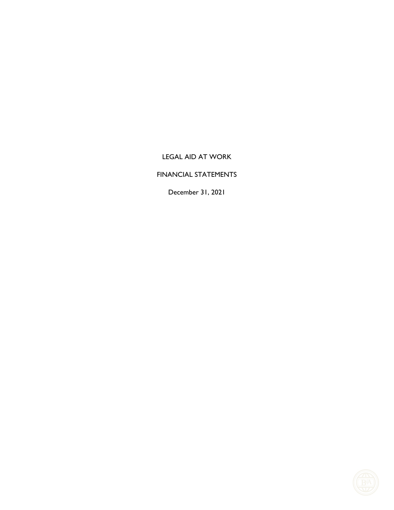# LEGAL AID AT WORK

# FINANCIAL STATEMENTS

December 31, 2021

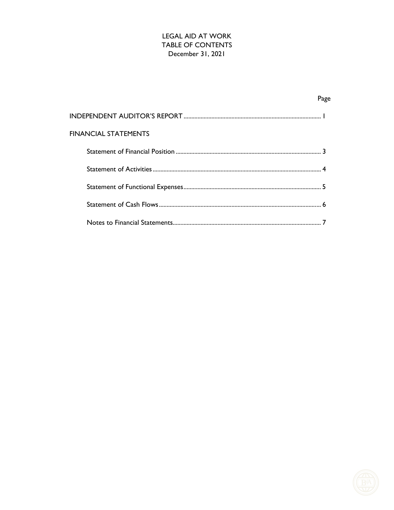# LEGAL AID AT WORK TABLE OF CONTENTS December 31, 2021

| <b>FINANCIAL STATEMENTS</b> |  |
|-----------------------------|--|
|                             |  |
|                             |  |
|                             |  |
|                             |  |
|                             |  |



Page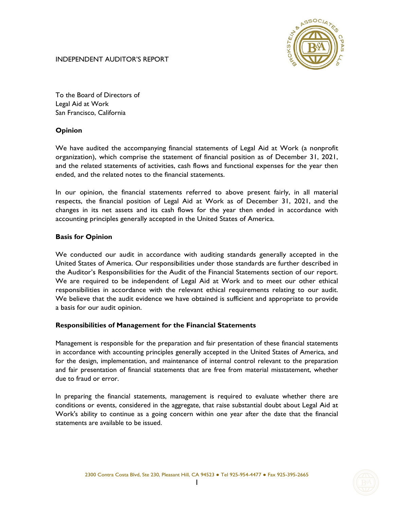

INDEPENDENT AUDITOR'S REPORT

To the Board of Directors of Legal Aid at Work San Francisco, California

## **Opinion**

We have audited the accompanying financial statements of Legal Aid at Work (a nonprofit organization), which comprise the statement of financial position as of December 31, 2021, and the related statements of activities, cash flows and functional expenses for the year then ended, and the related notes to the financial statements.

In our opinion, the financial statements referred to above present fairly, in all material respects, the financial position of Legal Aid at Work as of December 31, 2021, and the changes in its net assets and its cash flows for the year then ended in accordance with accounting principles generally accepted in the United States of America.

# **Basis for Opinion**

We conducted our audit in accordance with auditing standards generally accepted in the United States of America. Our responsibilities under those standards are further described in the Auditor's Responsibilities for the Audit of the Financial Statements section of our report. We are required to be independent of Legal Aid at Work and to meet our other ethical responsibilities in accordance with the relevant ethical requirements relating to our audit. We believe that the audit evidence we have obtained is sufficient and appropriate to provide a basis for our audit opinion.

#### **Responsibilities of Management for the Financial Statements**

Management is responsible for the preparation and fair presentation of these financial statements in accordance with accounting principles generally accepted in the United States of America, and for the design, implementation, and maintenance of internal control relevant to the preparation and fair presentation of financial statements that are free from material misstatement, whether due to fraud or error.

In preparing the financial statements, management is required to evaluate whether there are conditions or events, considered in the aggregate, that raise substantial doubt about Legal Aid at Work's ability to continue as a going concern within one year after the date that the financial statements are available to be issued.

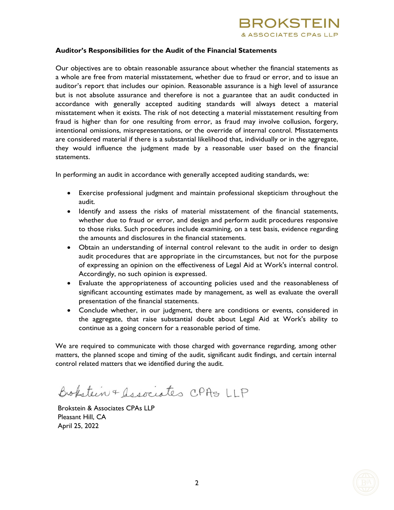

#### **Auditor's Responsibilities for the Audit of the Financial Statements**

Our objectives are to obtain reasonable assurance about whether the financial statements as a whole are free from material misstatement, whether due to fraud or error, and to issue an auditor's report that includes our opinion. Reasonable assurance is a high level of assurance but is not absolute assurance and therefore is not a guarantee that an audit conducted in accordance with generally accepted auditing standards will always detect a material misstatement when it exists. The risk of not detecting a material misstatement resulting from fraud is higher than for one resulting from error, as fraud may involve collusion, forgery, intentional omissions, misrepresentations, or the override of internal control. Misstatements are considered material if there is a substantial likelihood that, individually or in the aggregate, they would influence the judgment made by a reasonable user based on the financial statements.

In performing an audit in accordance with generally accepted auditing standards, we:

- Exercise professional judgment and maintain professional skepticism throughout the audit.
- Identify and assess the risks of material misstatement of the financial statements, whether due to fraud or error, and design and perform audit procedures responsive to those risks. Such procedures include examining, on a test basis, evidence regarding the amounts and disclosures in the financial statements.
- Obtain an understanding of internal control relevant to the audit in order to design audit procedures that are appropriate in the circumstances, but not for the purpose of expressing an opinion on the effectiveness of Legal Aid at Work's internal control. Accordingly, no such opinion is expressed.
- Evaluate the appropriateness of accounting policies used and the reasonableness of significant accounting estimates made by management, as well as evaluate the overall presentation of the financial statements.
- Conclude whether, in our judgment, there are conditions or events, considered in the aggregate, that raise substantial doubt about Legal Aid at Work's ability to continue as a going concern for a reasonable period of time.

We are required to communicate with those charged with governance regarding, among other matters, the planned scope and timing of the audit, significant audit findings, and certain internal control related matters that we identified during the audit.

Brokstein & Associates CPAS LLP

Brokstein & Associates CPAs LLP Pleasant Hill, CA April 25, 2022

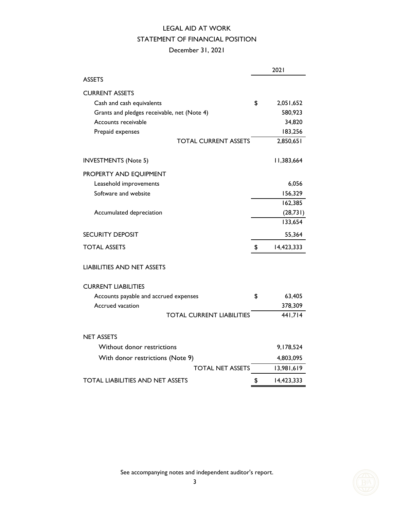# LEGAL AID AT WORK STATEMENT OF FINANCIAL POSITION

December 31, 2021

|                                             | 2021             |
|---------------------------------------------|------------------|
| <b>ASSETS</b>                               |                  |
| <b>CURRENT ASSETS</b>                       |                  |
| Cash and cash equivalents                   | \$<br>2,051,652  |
| Grants and pledges receivable, net (Note 4) | 580,923          |
| Accounts receivable                         | 34,820           |
| Prepaid expenses                            | 183,256          |
| <b>TOTAL CURRENT ASSETS</b>                 | 2,850,651        |
| <b>INVESTMENTS (Note 5)</b>                 | 11,383,664       |
| PROPERTY AND EQUIPMENT                      |                  |
| Leasehold improvements                      | 6,056            |
| Software and website                        | 156,329          |
|                                             | 162,385          |
| Accumulated depreciation                    | (28, 731)        |
|                                             | 133,654          |
| <b>SECURITY DEPOSIT</b>                     | 55,364           |
| <b>TOTAL ASSETS</b>                         | \$<br>14,423,333 |
| <b>LIABILITIES AND NET ASSETS</b>           |                  |
| <b>CURRENT LIABILITIES</b>                  |                  |
| Accounts payable and accrued expenses       | \$<br>63,405     |
| Accrued vacation                            | 378,309          |
| <b>TOTAL CURRENT LIABILITIES</b>            | 441,714          |
| <b>NET ASSETS</b>                           |                  |
| Without donor restrictions                  | 9,178,524        |
| With donor restrictions (Note 9)            | 4,803,095        |
| <b>TOTAL NET ASSETS</b>                     | 13,981,619       |
| <b>TOTAL LIABILITIES AND NET ASSETS</b>     | \$<br>14,423,333 |



See accompanying notes and independent auditor's report.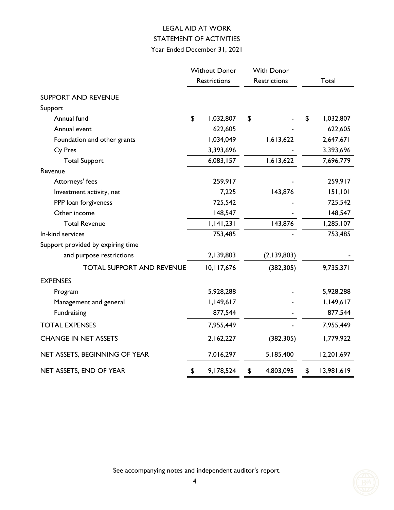# LEGAL AID AT WORK STATEMENT OF ACTIVITIES Year Ended December 31, 2021

|                                   |                     | <b>Without Donor</b> |                     | <b>With Donor</b> |                  |
|-----------------------------------|---------------------|----------------------|---------------------|-------------------|------------------|
|                                   | <b>Restrictions</b> |                      | <b>Restrictions</b> |                   | Total            |
| <b>SUPPORT AND REVENUE</b>        |                     |                      |                     |                   |                  |
| Support                           |                     |                      |                     |                   |                  |
| Annual fund                       | \$                  | 1,032,807            | \$                  |                   | \$<br>1,032,807  |
| Annual event                      |                     | 622,605              |                     |                   | 622,605          |
| Foundation and other grants       |                     | 1,034,049            |                     | 1,613,622         | 2,647,671        |
| Cy Pres                           |                     | 3,393,696            |                     |                   | 3,393,696        |
| <b>Total Support</b>              |                     | 6,083,157            |                     | 1,613,622         | 7,696,779        |
| Revenue                           |                     |                      |                     |                   |                  |
| Attorneys' fees                   |                     | 259,917              |                     |                   | 259,917          |
| Investment activity, net          |                     | 7,225                |                     | 143,876           | 151,101          |
| PPP loan forgiveness              |                     | 725,542              |                     |                   | 725,542          |
| Other income                      |                     | 148,547              |                     |                   | 148,547          |
| <b>Total Revenue</b>              |                     | 1,141,231            |                     | 143,876           | 1,285,107        |
| In-kind services                  |                     | 753,485              |                     |                   | 753,485          |
| Support provided by expiring time |                     |                      |                     |                   |                  |
| and purpose restrictions          |                     | 2,139,803            |                     | (2,139,803)       |                  |
| <b>TOTAL SUPPORT AND REVENUE</b>  |                     | 10,117,676           |                     | (382, 305)        | 9,735,371        |
| <b>EXPENSES</b>                   |                     |                      |                     |                   |                  |
| Program                           |                     | 5,928,288            |                     |                   | 5,928,288        |
| Management and general            |                     | 1,149,617            |                     |                   | 1,149,617        |
| <b>Fundraising</b>                |                     | 877,544              |                     |                   | 877,544          |
| <b>TOTAL EXPENSES</b>             |                     | 7,955,449            |                     |                   | 7,955,449        |
| <b>CHANGE IN NET ASSETS</b>       |                     | 2,162,227            |                     | (382, 305)        | 1,779,922        |
| NET ASSETS, BEGINNING OF YEAR     |                     | 7,016,297            |                     | 5,185,400         | 12,201,697       |
| NET ASSETS, END OF YEAR           | \$                  | 9,178,524            | \$                  | 4,803,095         | \$<br>13,981,619 |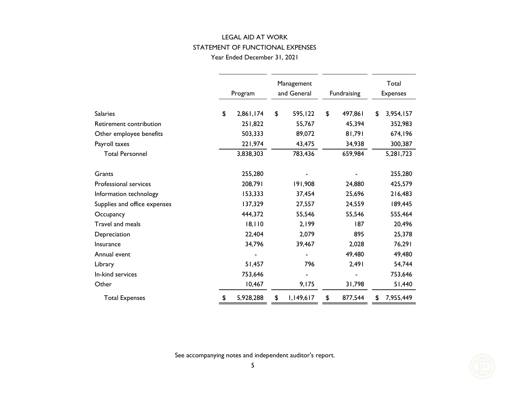# LEGAL AID AT WORKSTATEMENT OF FUNCTIONAL EXPENSES

Year Ended December 31, 2021

|                              | Program         | Management<br>and General | Fundraising   |    | Total<br><b>Expenses</b> |
|------------------------------|-----------------|---------------------------|---------------|----|--------------------------|
| <b>Salaries</b>              | \$<br>2,861,174 | \$<br>595,122             | \$<br>497,861 | \$ | 3,954,157                |
| Retirement contribution      | 251,822         | 55,767                    | 45,394        |    | 352,983                  |
| Other employee benefits      | 503,333         | 89,072                    | 81,791        |    | 674,196                  |
| Payroll taxes                | 221,974         | 43,475                    | 34,938        |    | 300,387                  |
| <b>Total Personnel</b>       | 3,838,303       | 783,436                   | 659,984       |    | 5,281,723                |
| Grants                       | 255,280         |                           |               |    | 255,280                  |
| <b>Professional services</b> | 208,791         | 191,908                   | 24,880        |    | 425,579                  |
| Information technology       | 153,333         | 37,454                    | 25,696        |    | 216,483                  |
| Supplies and office expenses | 137,329         | 27,557                    | 24,559        |    | 189,445                  |
| Occupancy                    | 444,372         | 55,546                    | 55,546        |    | 555,464                  |
| Travel and meals             | 18, 110         | 2,199                     | 187           |    | 20,496                   |
| Depreciation                 | 22,404          | 2,079                     | 895           |    | 25,378                   |
| Insurance                    | 34,796          | 39,467                    | 2,028         |    | 76,291                   |
| Annual event                 |                 |                           | 49,480        |    | 49,480                   |
| Library                      | 51,457          | 796                       | 2,491         |    | 54,744                   |
| In-kind services             | 753,646         |                           |               |    | 753,646                  |
| Other                        | 10,467          | 9,175                     | 31,798        |    | 51,440                   |
| <b>Total Expenses</b>        | \$<br>5,928,288 | \$<br>1,149,617           | \$<br>877,544 | S  | 7,955,449                |

See accompanying notes and independent auditor's report.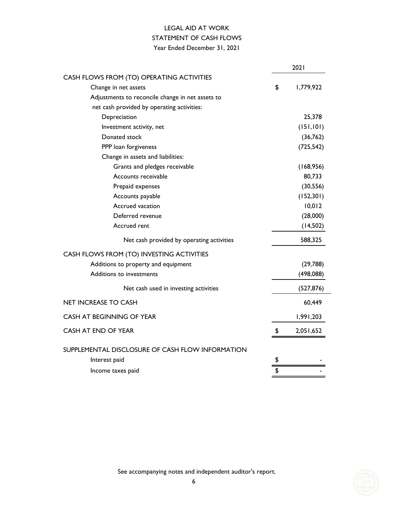# LEGAL AID AT WORK STATEMENT OF CASH FLOWS Year Ended December 31, 2021

|                                                  | 2021 |            |
|--------------------------------------------------|------|------------|
| CASH FLOWS FROM (TO) OPERATING ACTIVITIES        |      |            |
| Change in net assets                             | \$   | 1,779,922  |
| Adjustments to reconcile change in net assets to |      |            |
| net cash provided by operating activities:       |      |            |
| Depreciation                                     |      | 25,378     |
| Investment activity, net                         |      | (151, 101) |
| Donated stock                                    |      | (36, 762)  |
| PPP loan forgiveness                             |      | (725, 542) |
| Change in assets and liabilities:                |      |            |
| Grants and pledges receivable                    |      | (168, 956) |
| Accounts receivable                              |      | 80,733     |
| Prepaid expenses                                 |      | (30, 556)  |
| Accounts payable                                 |      | (152, 301) |
| Accrued vacation                                 |      | 10,012     |
| Deferred revenue                                 |      | (28,000)   |
| Accrued rent                                     |      | (14, 502)  |
| Net cash provided by operating activities        |      | 588,325    |
| CASH FLOWS FROM (TO) INVESTING ACTIVITIES        |      |            |
| Additions to property and equipment              |      | (29, 788)  |
| Additions to investments                         |      | (498, 088) |
| Net cash used in investing activities            |      | (527, 876) |
| <b>NET INCREASE TO CASH</b>                      |      | 60,449     |
| CASH AT BEGINNING OF YEAR                        |      | 1,991,203  |
| CASH AT END OF YEAR                              | \$   | 2,051,652  |
| SUPPLEMENTAL DISCLOSURE OF CASH FLOW INFORMATION |      |            |
| Interest paid                                    | \$   |            |
| Income taxes paid                                | \$   |            |
|                                                  |      |            |

See accompanying notes and independent auditor's report.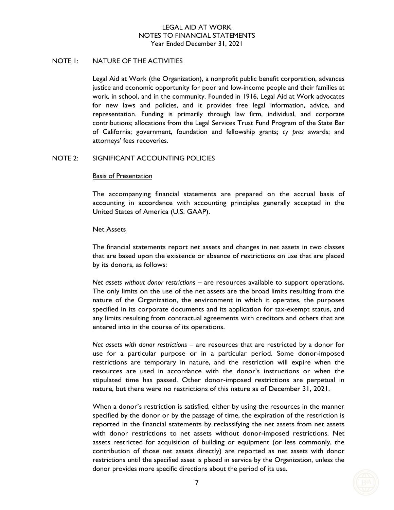#### NOTE 1: NATURE OF THE ACTIVITIES

Legal Aid at Work (the Organization), a nonprofit public benefit corporation, advances justice and economic opportunity for poor and low-income people and their families at work, in school, and in the community. Founded in 1916, Legal Aid at Work advocates for new laws and policies, and it provides free legal information, advice, and representation. Funding is primarily through law firm, individual, and corporate contributions; allocations from the Legal Services Trust Fund Program of the State Bar of California; government, foundation and fellowship grants; *cy pres* awards; and attorneys' fees recoveries.

#### NOTE 2: SIGNIFICANT ACCOUNTING POLICIES

#### Basis of Presentation

The accompanying financial statements are prepared on the accrual basis of accounting in accordance with accounting principles generally accepted in the United States of America (U.S. GAAP).

#### Net Assets

The financial statements report net assets and changes in net assets in two classes that are based upon the existence or absence of restrictions on use that are placed by its donors, as follows:

*Net assets without donor restrictions* – are resources available to support operations. The only limits on the use of the net assets are the broad limits resulting from the nature of the Organization, the environment in which it operates, the purposes specified in its corporate documents and its application for tax-exempt status, and any limits resulting from contractual agreements with creditors and others that are entered into in the course of its operations.

*Net assets with donor restrictions* – are resources that are restricted by a donor for use for a particular purpose or in a particular period. Some donor-imposed restrictions are temporary in nature, and the restriction will expire when the resources are used in accordance with the donor's instructions or when the stipulated time has passed. Other donor-imposed restrictions are perpetual in nature, but there were no restrictions of this nature as of December 31, 2021.

When a donor's restriction is satisfied, either by using the resources in the manner specified by the donor or by the passage of time, the expiration of the restriction is reported in the financial statements by reclassifying the net assets from net assets with donor restrictions to net assets without donor-imposed restrictions. Net assets restricted for acquisition of building or equipment (or less commonly, the contribution of those net assets directly) are reported as net assets with donor restrictions until the specified asset is placed in service by the Organization, unless the donor provides more specific directions about the period of its use.

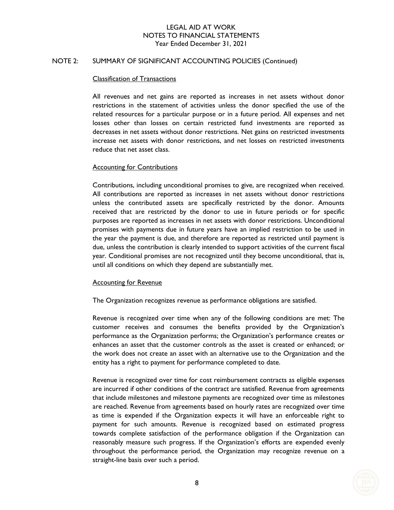#### NOTE 2: SUMMARY OF SIGNIFICANT ACCOUNTING POLICIES (Continued)

#### Classification of Transactions

All revenues and net gains are reported as increases in net assets without donor restrictions in the statement of activities unless the donor specified the use of the related resources for a particular purpose or in a future period. All expenses and net losses other than losses on certain restricted fund investments are reported as decreases in net assets without donor restrictions. Net gains on restricted investments increase net assets with donor restrictions, and net losses on restricted investments reduce that net asset class.

#### **Accounting for Contributions**

Contributions, including unconditional promises to give, are recognized when received. All contributions are reported as increases in net assets without donor restrictions unless the contributed assets are specifically restricted by the donor. Amounts received that are restricted by the donor to use in future periods or for specific purposes are reported as increases in net assets with donor restrictions. Unconditional promises with payments due in future years have an implied restriction to be used in the year the payment is due, and therefore are reported as restricted until payment is due, unless the contribution is clearly intended to support activities of the current fiscal year. Conditional promises are not recognized until they become unconditional, that is, until all conditions on which they depend are substantially met.

#### Accounting for Revenue

The Organization recognizes revenue as performance obligations are satisfied.

Revenue is recognized over time when any of the following conditions are met: The customer receives and consumes the benefits provided by the Organization's performance as the Organization performs; the Organization's performance creates or enhances an asset that the customer controls as the asset is created or enhanced; or the work does not create an asset with an alternative use to the Organization and the entity has a right to payment for performance completed to date.

Revenue is recognized over time for cost reimbursement contracts as eligible expenses are incurred if other conditions of the contract are satisfied. Revenue from agreements that include milestones and milestone payments are recognized over time as milestones are reached. Revenue from agreements based on hourly rates are recognized over time as time is expended if the Organization expects it will have an enforceable right to payment for such amounts. Revenue is recognized based on estimated progress towards complete satisfaction of the performance obligation if the Organization can reasonably measure such progress. If the Organization's efforts are expended evenly throughout the performance period, the Organization may recognize revenue on a straight-line basis over such a period.

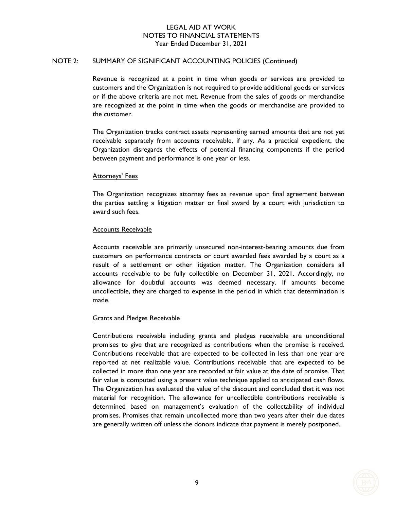#### NOTE 2: SUMMARY OF SIGNIFICANT ACCOUNTING POLICIES (Continued)

Revenue is recognized at a point in time when goods or services are provided to customers and the Organization is not required to provide additional goods or services or if the above criteria are not met. Revenue from the sales of goods or merchandise are recognized at the point in time when the goods or merchandise are provided to the customer.

The Organization tracks contract assets representing earned amounts that are not yet receivable separately from accounts receivable, if any. As a practical expedient, the Organization disregards the effects of potential financing components if the period between payment and performance is one year or less.

#### Attorneys' Fees

The Organization recognizes attorney fees as revenue upon final agreement between the parties settling a litigation matter or final award by a court with jurisdiction to award such fees.

#### Accounts Receivable

Accounts receivable are primarily unsecured non-interest-bearing amounts due from customers on performance contracts or court awarded fees awarded by a court as a result of a settlement or other litigation matter. The Organization considers all accounts receivable to be fully collectible on December 31, 2021. Accordingly, no allowance for doubtful accounts was deemed necessary. If amounts become uncollectible, they are charged to expense in the period in which that determination is made.

#### Grants and Pledges Receivable

Contributions receivable including grants and pledges receivable are unconditional promises to give that are recognized as contributions when the promise is received. Contributions receivable that are expected to be collected in less than one year are reported at net realizable value. Contributions receivable that are expected to be collected in more than one year are recorded at fair value at the date of promise. That fair value is computed using a present value technique applied to anticipated cash flows. The Organization has evaluated the value of the discount and concluded that it was not material for recognition. The allowance for uncollectible contributions receivable is determined based on management's evaluation of the collectability of individual promises. Promises that remain uncollected more than two years after their due dates are generally written off unless the donors indicate that payment is merely postponed.

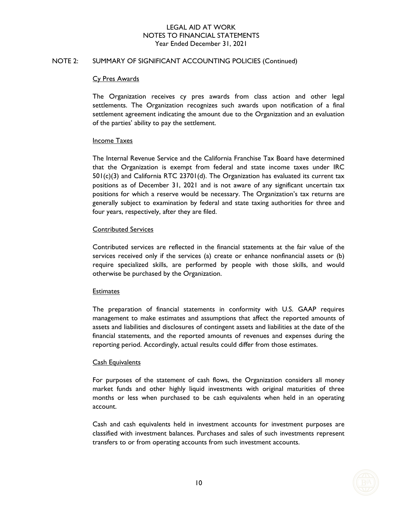#### NOTE 2: SUMMARY OF SIGNIFICANT ACCOUNTING POLICIES (Continued)

#### Cy Pres Awards

The Organization receives cy pres awards from class action and other legal settlements. The Organization recognizes such awards upon notification of a final settlement agreement indicating the amount due to the Organization and an evaluation of the parties' ability to pay the settlement.

#### Income Taxes

The Internal Revenue Service and the California Franchise Tax Board have determined that the Organization is exempt from federal and state income taxes under IRC  $501(c)(3)$  and California RTC 23701(d). The Organization has evaluated its current tax positions as of December 31, 2021 and is not aware of any significant uncertain tax positions for which a reserve would be necessary. The Organization's tax returns are generally subject to examination by federal and state taxing authorities for three and four years, respectively, after they are filed.

#### Contributed Services

Contributed services are reflected in the financial statements at the fair value of the services received only if the services (a) create or enhance nonfinancial assets or (b) require specialized skills, are performed by people with those skills, and would otherwise be purchased by the Organization.

#### **Estimates**

The preparation of financial statements in conformity with U.S. GAAP requires management to make estimates and assumptions that affect the reported amounts of assets and liabilities and disclosures of contingent assets and liabilities at the date of the financial statements, and the reported amounts of revenues and expenses during the reporting period. Accordingly, actual results could differ from those estimates.

#### Cash Equivalents

For purposes of the statement of cash flows, the Organization considers all money market funds and other highly liquid investments with original maturities of three months or less when purchased to be cash equivalents when held in an operating account.

Cash and cash equivalents held in investment accounts for investment purposes are classified with investment balances. Purchases and sales of such investments represent transfers to or from operating accounts from such investment accounts.

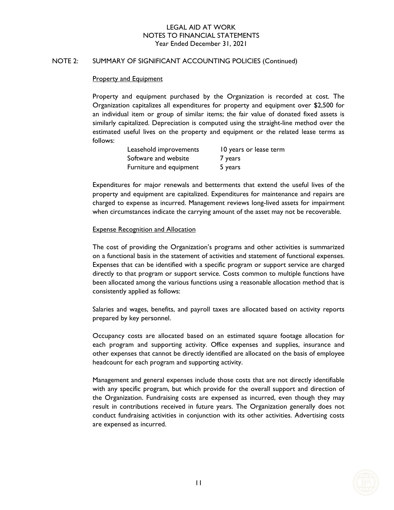## NOTE 2: SUMMARY OF SIGNIFICANT ACCOUNTING POLICIES (Continued)

#### **Property and Equipment**

Property and equipment purchased by the Organization is recorded at cost. The Organization capitalizes all expenditures for property and equipment over \$2,500 for an individual item or group of similar items; the fair value of donated fixed assets is similarly capitalized. Depreciation is computed using the straight-line method over the estimated useful lives on the property and equipment or the related lease terms as follows:

| Leasehold improvements  | 10 years or lease term |
|-------------------------|------------------------|
| Software and website    | 7 years                |
| Furniture and equipment | 5 years                |

Expenditures for major renewals and betterments that extend the useful lives of the property and equipment are capitalized. Expenditures for maintenance and repairs are charged to expense as incurred. Management reviews long-lived assets for impairment when circumstances indicate the carrying amount of the asset may not be recoverable.

#### **Expense Recognition and Allocation**

The cost of providing the Organization's programs and other activities is summarized on a functional basis in the statement of activities and statement of functional expenses. Expenses that can be identified with a specific program or support service are charged directly to that program or support service. Costs common to multiple functions have been allocated among the various functions using a reasonable allocation method that is consistently applied as follows:

Salaries and wages, benefits, and payroll taxes are allocated based on activity reports prepared by key personnel.

Occupancy costs are allocated based on an estimated square footage allocation for each program and supporting activity. Office expenses and supplies, insurance and other expenses that cannot be directly identified are allocated on the basis of employee headcount for each program and supporting activity.

Management and general expenses include those costs that are not directly identifiable with any specific program, but which provide for the overall support and direction of the Organization. Fundraising costs are expensed as incurred, even though they may result in contributions received in future years. The Organization generally does not conduct fundraising activities in conjunction with its other activities. Advertising costs are expensed as incurred.

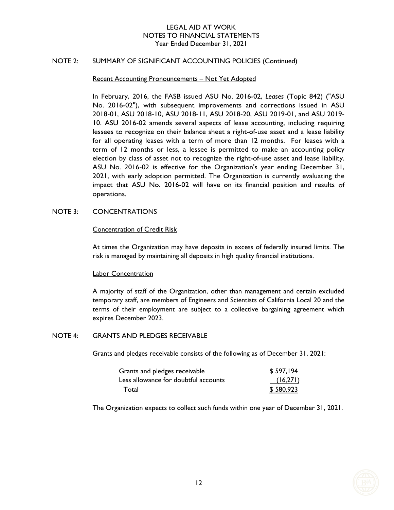#### NOTE 2: SUMMARY OF SIGNIFICANT ACCOUNTING POLICIES (Continued)

#### Recent Accounting Pronouncements – Not Yet Adopted

In February, 2016, the FASB issued ASU No. 2016-02, *Leases* (Topic 842) ("ASU No. 2016-02"), with subsequent improvements and corrections issued in ASU 2018-01, ASU 2018-10, ASU 2018-11, ASU 2018-20, ASU 2019-01, and ASU 2019- 10. ASU 2016-02 amends several aspects of lease accounting, including requiring lessees to recognize on their balance sheet a right-of-use asset and a lease liability for all operating leases with a term of more than 12 months. For leases with a term of 12 months or less, a lessee is permitted to make an accounting policy election by class of asset not to recognize the right-of-use asset and lease liability. ASU No. 2016-02 is effective for the Organization's year ending December 31, 2021, with early adoption permitted. The Organization is currently evaluating the impact that ASU No. 2016-02 will have on its financial position and results of operations.

#### NOTE 3: CONCENTRATIONS

#### Concentration of Credit Risk

At times the Organization may have deposits in excess of federally insured limits. The risk is managed by maintaining all deposits in high quality financial institutions.

#### Labor Concentration

A majority of staff of the Organization, other than management and certain excluded temporary staff, are members of Engineers and Scientists of California Local 20 and the terms of their employment are subject to a collective bargaining agreement which expires December 2023.

#### NOTE 4: GRANTS AND PLEDGES RECEIVABLE

Grants and pledges receivable consists of the following as of December 31, 2021:

| Grants and pledges receivable        | \$597,194 |
|--------------------------------------|-----------|
| Less allowance for doubtful accounts | (16,271)  |
| Total                                | \$580,923 |

The Organization expects to collect such funds within one year of December 31, 2021.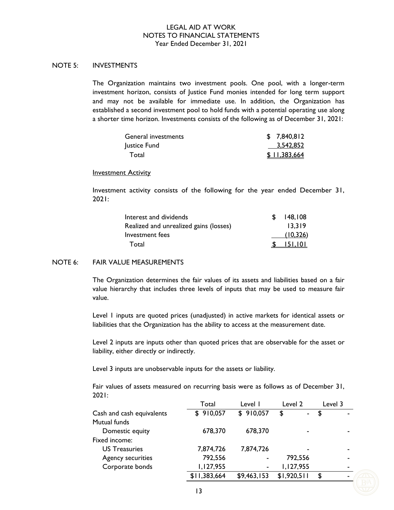#### NOTE 5: INVESTMENTS

The Organization maintains two investment pools. One pool, with a longer-term investment horizon, consists of Justice Fund monies intended for long term support and may not be available for immediate use. In addition, the Organization has established a second investment pool to hold funds with a potential operating use along a shorter time horizon. Investments consists of the following as of December 31, 2021:

| General investments | \$ 7,840,812  |
|---------------------|---------------|
| Justice Fund        | 3,542,852     |
| Total               | \$ 11,383,664 |

#### Investment Activity

Investment activity consists of the following for the year ended December 31, 2021:

| 148.108   |
|-----------|
| 13.319    |
| (10, 326) |
| 151.101   |
|           |

#### NOTE 6: FAIR VALUE MEASUREMENTS

The Organization determines the fair values of its assets and liabilities based on a fair value hierarchy that includes three levels of inputs that may be used to measure fair value.

Level 1 inputs are quoted prices (unadjusted) in active markets for identical assets or liabilities that the Organization has the ability to access at the measurement date.

Level 2 inputs are inputs other than quoted prices that are observable for the asset or liability, either directly or indirectly.

Level 3 inputs are unobservable inputs for the assets or liability.

Fair values of assets measured on recurring basis were as follows as of December 31, 2021:

|                           | Total        | Level I     | Level 2      | Level 3 |
|---------------------------|--------------|-------------|--------------|---------|
| Cash and cash equivalents | \$910,057    | \$910,057   | \$<br>$\sim$ | S       |
| Mutual funds              |              |             |              |         |
| Domestic equity           | 678,370      | 678,370     | ۰            |         |
| Fixed income:             |              |             |              |         |
| <b>US Treasuries</b>      | 7,874,726    | 7,874,726   |              |         |
| Agency securities         | 792,556      |             | 792,556      |         |
| Corporate bonds           | I, 127, 955  |             | I, 127, 955  |         |
|                           | \$11,383,664 | \$9,463,153 | \$1,920,511  | S       |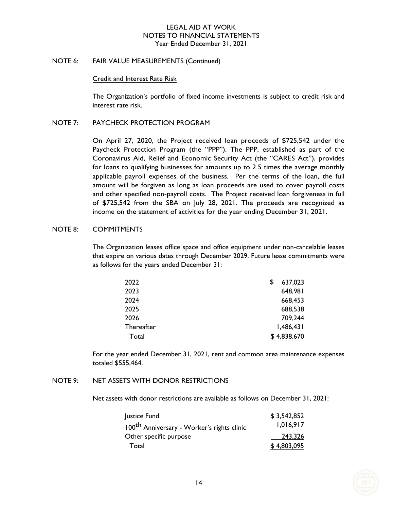#### NOTE 6: FAIR VALUE MEASUREMENTS (Continued)

#### Credit and Interest Rate Risk

The Organization's portfolio of fixed income investments is subject to credit risk and interest rate risk.

#### NOTE  $7<sup>1</sup>$ PAYCHECK PROTECTION PROGRAM

On April 27, 2020, the Project received loan proceeds of \$725,542 under the Paycheck Protection Program (the "PPP"). The PPP, established as part of the Coronavirus Aid, Relief and Economic Security Act (the "CARES Act"), provides for loans to qualifying businesses for amounts up to 2.5 times the average monthly applicable payroll expenses of the business. Per the terms of the loan, the full amount will be forgiven as long as loan proceeds are used to cover payroll costs and other specified non-payroll costs. The Project received loan forgiveness in full of \$725,542 from the SBA on July 28, 2021. The proceeds are recognized as income on the statement of activities for the year ending December 31, 2021.

#### NOTE 8: COMMITMENTS

The Organization leases office space and office equipment under non-cancelable leases that expire on various dates through December 2029. Future lease commitments were as follows for the years ended December 31:

| 2022       | \$<br>637,023 |
|------------|---------------|
| 2023       | 648,981       |
| 2024       | 668,453       |
| 2025       | 688,538       |
| 2026       | 709,244       |
| Thereafter | 1,486,431     |
| Total      | \$4,838,670   |

For the year ended December 31, 2021, rent and common area maintenance expenses totaled \$555,464.

#### NOTE 9: NET ASSETS WITH DONOR RESTRICTIONS

Net assets with donor restrictions are available as follows on December 31, 2021:

| Justice Fund                                           | \$3,542,852 |
|--------------------------------------------------------|-------------|
| 100 <sup>th</sup> Anniversary - Worker's rights clinic | 1,016,917   |
| Other specific purpose                                 | 243,326     |
| Total                                                  | \$4,803,095 |

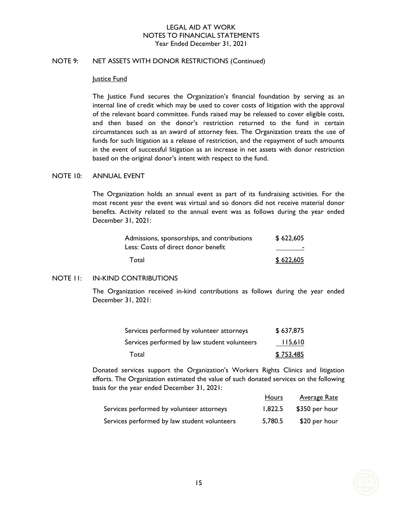#### NOTE 9: NET ASSETS WITH DONOR RESTRICTIONS (Continued)

#### **Justice Fund**

The Justice Fund secures the Organization's financial foundation by serving as an internal line of credit which may be used to cover costs of litigation with the approval of the relevant board committee. Funds raised may be released to cover eligible costs, and then based on the donor's restriction returned to the fund in certain circumstances such as an award of attorney fees. The Organization treats the use of funds for such litigation as a release of restriction, and the repayment of such amounts in the event of successful litigation as an increase in net assets with donor restriction based on the original donor's intent with respect to the fund.

#### NOTE 10: ANNUAL EVENT

The Organization holds an annual event as part of its fundraising activities. For the most recent year the event was virtual and so donors did not receive material donor benefits. Activity related to the annual event was as follows during the year ended December 31, 2021:

| Admissions, sponsorships, and contributions | \$622,605 |
|---------------------------------------------|-----------|
| Less: Costs of direct donor benefit         | . .       |
| Total                                       | \$622,605 |

#### NOTE 11: IN-KIND CONTRIBUTIONS

The Organization received in-kind contributions as follows during the year ended December 31, 2021:

| Services performed by volunteer attorneys    | \$637,875 |
|----------------------------------------------|-----------|
| Services performed by law student volunteers | 115,610   |
| Total                                        | \$753,485 |

Donated services support the Organization's Workers Rights Clinics and litigation efforts. The Organization estimated the value of such donated services on the following basis for the year ended December 31, 2021:

|                                              | <b>Hours</b> | <u>Average Rate</u> |
|----------------------------------------------|--------------|---------------------|
| Services performed by volunteer attorneys    | 1.822.5      | \$350 per hour      |
| Services performed by law student volunteers | 5.780.5      | \$20 per hour       |

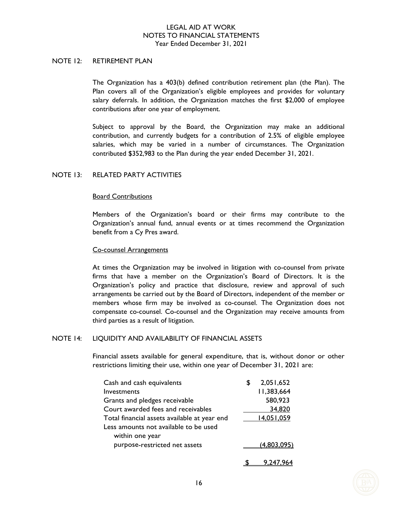#### NOTE 12: RETIREMENT PLAN

The Organization has a 403(b) defined contribution retirement plan (the Plan). The Plan covers all of the Organization's eligible employees and provides for voluntary salary deferrals. In addition, the Organization matches the first \$2,000 of employee contributions after one year of employment.

Subject to approval by the Board, the Organization may make an additional contribution, and currently budgets for a contribution of 2.5% of eligible employee salaries, which may be varied in a number of circumstances. The Organization contributed \$352,983 to the Plan during the year ended December 31, 2021.

#### NOTE 13: RELATED PARTY ACTIVITIES

#### Board Contributions

Members of the Organization's board or their firms may contribute to the Organization's annual fund, annual events or at times recommend the Organization benefit from a Cy Pres award.

#### Co-counsel Arrangements

At times the Organization may be involved in litigation with co-counsel from private firms that have a member on the Organization's Board of Directors. It is the Organization's policy and practice that disclosure, review and approval of such arrangements be carried out by the Board of Directors, independent of the member or members whose firm may be involved as co-counsel. The Organization does not compensate co-counsel. Co-counsel and the Organization may receive amounts from third parties as a result of litigation.

#### NOTE 14: LIQUIDITY AND AVAILABILITY OF FINANCIAL ASSETS

Financial assets available for general expenditure, that is, without donor or other restrictions limiting their use, within one year of December 31, 2021 are:

| Cash and cash equivalents                    | \$<br>2,051,652    |
|----------------------------------------------|--------------------|
| Investments                                  | 11,383,664         |
| Grants and pledges receivable                | 580,923            |
| Court awarded fees and receivables           | 34,820             |
| Total financial assets available at year end | 14,051,059         |
| Less amounts not available to be used        |                    |
| within one year                              |                    |
| purpose-restricted net assets                | <u>(4,803,095)</u> |
|                                              | 9,247,964          |